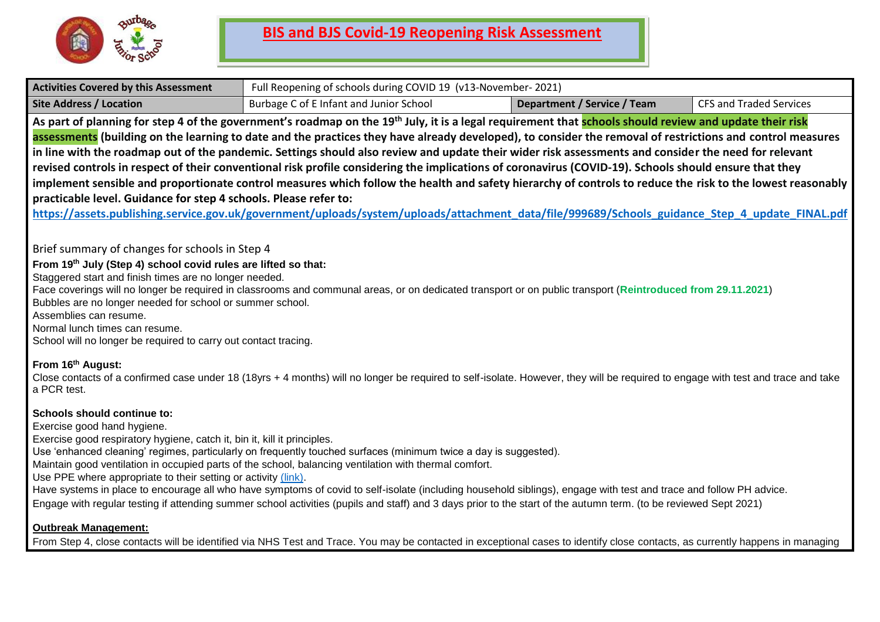

| <b>Activities Covered by this Assessment</b>                                                                                                                                                                                                                                                                                                                           | Full Reopening of schools during COVID 19 (v13-November-2021)                                                                                                                                                                                                                                                                                                                                                                                                                                                                                                                                                                                                                                                                                                                                                                                                                                                                                                               |                                    |                                |
|------------------------------------------------------------------------------------------------------------------------------------------------------------------------------------------------------------------------------------------------------------------------------------------------------------------------------------------------------------------------|-----------------------------------------------------------------------------------------------------------------------------------------------------------------------------------------------------------------------------------------------------------------------------------------------------------------------------------------------------------------------------------------------------------------------------------------------------------------------------------------------------------------------------------------------------------------------------------------------------------------------------------------------------------------------------------------------------------------------------------------------------------------------------------------------------------------------------------------------------------------------------------------------------------------------------------------------------------------------------|------------------------------------|--------------------------------|
| <b>Site Address / Location</b>                                                                                                                                                                                                                                                                                                                                         | Burbage C of E Infant and Junior School                                                                                                                                                                                                                                                                                                                                                                                                                                                                                                                                                                                                                                                                                                                                                                                                                                                                                                                                     | <b>Department / Service / Team</b> | <b>CFS and Traded Services</b> |
| practicable level. Guidance for step 4 schools. Please refer to:                                                                                                                                                                                                                                                                                                       | As part of planning for step 4 of the government's roadmap on the 19 <sup>th</sup> July, it is a legal requirement that <b>schools should review and update their risk</b><br>assessments (building on the learning to date and the practices they have already developed), to consider the removal of restrictions and control measures<br>in line with the roadmap out of the pandemic. Settings should also review and update their wider risk assessments and consider the need for relevant<br>revised controls in respect of their conventional risk profile considering the implications of coronavirus (COVID-19). Schools should ensure that they<br>implement sensible and proportionate control measures which follow the health and safety hierarchy of controls to reduce the risk to the lowest reasonably<br>https://assets.publishing.service.gov.uk/government/uploads/system/uploads/attachment data/file/999689/Schools guidance Step 4 update FINAL.pdf |                                    |                                |
| Brief summary of changes for schools in Step 4<br>From 19th July (Step 4) school covid rules are lifted so that:<br>Staggered start and finish times are no longer needed.<br>Bubbles are no longer needed for school or summer school.<br>Assemblies can resume.<br>Normal lunch times can resume.<br>School will no longer be required to carry out contact tracing. | Face coverings will no longer be required in classrooms and communal areas, or on dedicated transport or on public transport (Reintroduced from 29.11.2021)                                                                                                                                                                                                                                                                                                                                                                                                                                                                                                                                                                                                                                                                                                                                                                                                                 |                                    |                                |
| From 16th August:<br>a PCR test.                                                                                                                                                                                                                                                                                                                                       | Close contacts of a confirmed case under 18 (18yrs + 4 months) will no longer be required to self-isolate. However, they will be required to engage with test and trace and take                                                                                                                                                                                                                                                                                                                                                                                                                                                                                                                                                                                                                                                                                                                                                                                            |                                    |                                |
| <b>Schools should continue to:</b><br>Exercise good hand hygiene.<br>Exercise good respiratory hygiene, catch it, bin it, kill it principles.<br>Use PPE where appropriate to their setting or activity (link).                                                                                                                                                        | Use 'enhanced cleaning' regimes, particularly on frequently touched surfaces (minimum twice a day is suggested).<br>Maintain good ventilation in occupied parts of the school, balancing ventilation with thermal comfort.<br>Have systems in place to encourage all who have symptoms of covid to self-isolate (including household siblings), engage with test and trace and follow PH advice.<br>Engage with regular testing if attending summer school activities (pupils and staff) and 3 days prior to the start of the autumn term. (to be reviewed Sept 2021)                                                                                                                                                                                                                                                                                                                                                                                                       |                                    |                                |
| <b>Outbreak Management:</b>                                                                                                                                                                                                                                                                                                                                            | From Step 4, close contacts will be identified via NHS Test and Trace. You may be contacted in exceptional cases to identify close contacts, as currently happens in managing                                                                                                                                                                                                                                                                                                                                                                                                                                                                                                                                                                                                                                                                                                                                                                                               |                                    |                                |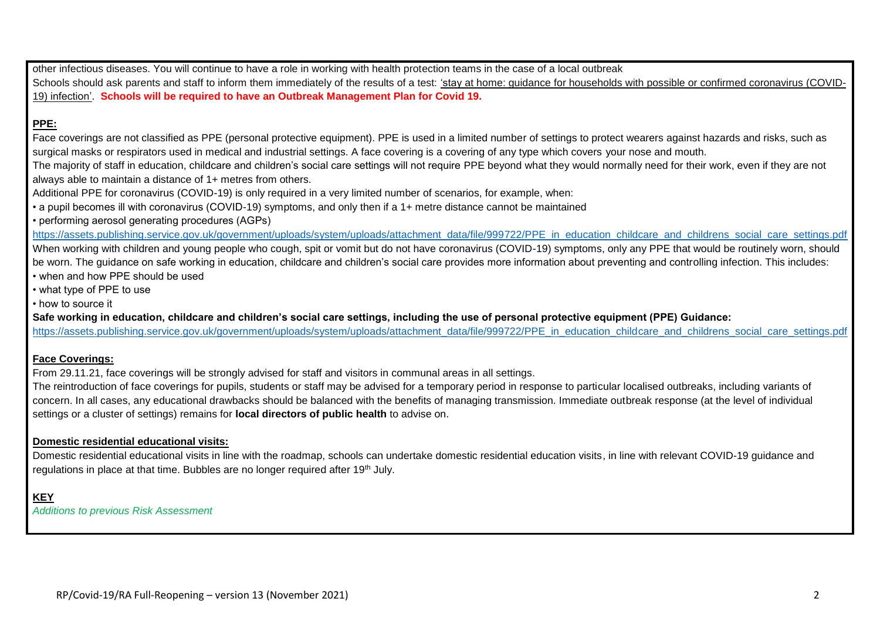other infectious diseases. You will continue to have a role in working with health protection teams in the case of a local outbreak Schools should ask parents and staff to inform them immediately of the results of a test: 'stay at home: quidance for households with possible or confirmed [coronavirus](https://www.gov.uk/government/publications/covid-19-stay-at-home-guidance) (COVID-19) [infection'.](https://www.gov.uk/government/publications/covid-19-stay-at-home-guidance) **Schools will be required to have an Outbreak Management Plan for Covid 19.**

## **PPE:**

Face coverings are not classified as PPE (personal protective equipment). PPE is used in a limited number of settings to protect wearers against hazards and risks, such as surgical masks or respirators used in medical and industrial settings. A face covering is a covering of any type which covers your nose and mouth.

The majority of staff in education, childcare and children's social care settings will not require PPE beyond what they would normally need for their work, even if they are not always able to maintain a distance of 1+ metres from others.

Additional PPE for coronavirus (COVID-19) is only required in a very limited number of scenarios, for example, when:

• a pupil becomes ill with coronavirus (COVID-19) symptoms, and only then if a 1+ metre distance cannot be maintained

• performing aerosol generating procedures (AGPs)

[https://assets.publishing.service.gov.uk/government/uploads/system/uploads/attachment\\_data/file/999722/PPE\\_in\\_education\\_childcare\\_and\\_childrens\\_social\\_care\\_settings.pdf](https://assets.publishing.service.gov.uk/government/uploads/system/uploads/attachment_data/file/999722/PPE_in_education_childcare_and_childrens_social_care_settings.pdf) When working with children and young people who cough, spit or vomit but do not have coronavirus (COVID-19) symptoms, only any PPE that would be routinely worn, should be worn. The guidance on safe working in education, childcare and children's social care provides more information about preventing and controlling infection. This includes: • when and how PPE should be used

• what type of PPE to use

• how to source it

**Safe working in education, childcare and children's social care settings, including the use of personal protective equipment (PPE) Guidance:**

[https://assets.publishing.service.gov.uk/government/uploads/system/uploads/attachment\\_data/file/999722/PPE\\_in\\_education\\_childcare\\_and\\_childrens\\_social\\_care\\_settings.pdf](https://assets.publishing.service.gov.uk/government/uploads/system/uploads/attachment_data/file/999722/PPE_in_education_childcare_and_childrens_social_care_settings.pdf)

## **Face Coverings:**

From 29.11.21, face coverings will be strongly advised for staff and visitors in communal areas in all settings.

The reintroduction of face coverings for pupils, students or staff may be advised for a temporary period in response to particular localised outbreaks, including variants of concern. In all cases, any educational drawbacks should be balanced with the benefits of managing transmission. Immediate outbreak response (at the level of individual settings or a cluster of settings) remains for **local directors of public health** to advise on.

## **Domestic residential educational visits:**

Domestic residential educational visits in line with the roadmap, schools can undertake domestic residential education visits, in line with relevant COVID-19 guidance and regulations in place at that time. Bubbles are no longer required after 19<sup>th</sup> July.

## **KEY**

*Additions to previous Risk Assessment*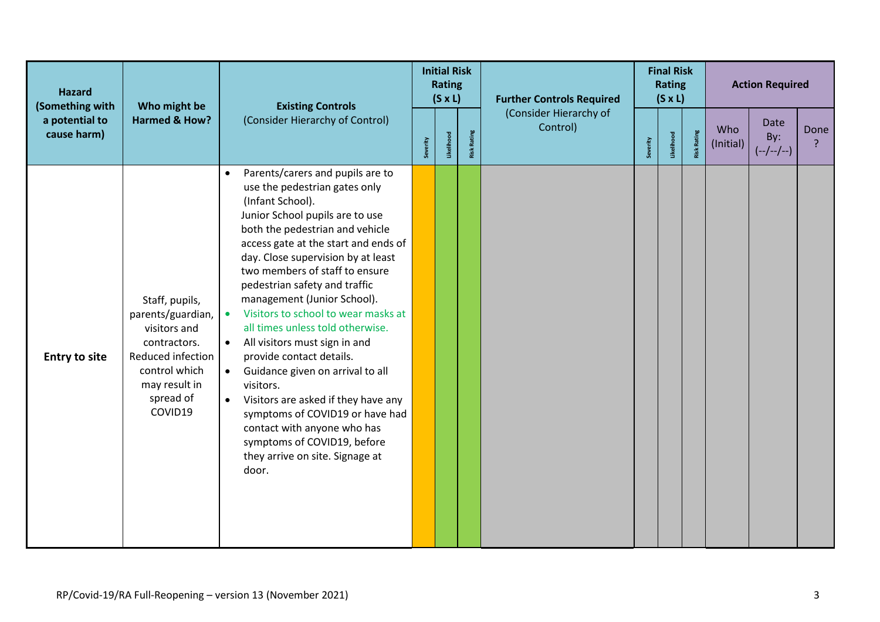| <b>Hazard</b><br>(Something with | Who might be<br><b>Existing Controls</b>                                                                                                           |                                                                                                                                                                                                                                                                                                                                                                                                                                                                                                                                                                                                                                                                                                                                                                                           | <b>Initial Risk</b><br><b>Rating</b><br>$(S \times L)$ |            |                    | <b>Further Controls Required</b><br>(Consider Hierarchy of | <b>Final Risk</b><br><b>Rating</b><br>$(S \times L)$ |            |                    | <b>Action Required</b> |                                   |      |
|----------------------------------|----------------------------------------------------------------------------------------------------------------------------------------------------|-------------------------------------------------------------------------------------------------------------------------------------------------------------------------------------------------------------------------------------------------------------------------------------------------------------------------------------------------------------------------------------------------------------------------------------------------------------------------------------------------------------------------------------------------------------------------------------------------------------------------------------------------------------------------------------------------------------------------------------------------------------------------------------------|--------------------------------------------------------|------------|--------------------|------------------------------------------------------------|------------------------------------------------------|------------|--------------------|------------------------|-----------------------------------|------|
| a potential to<br>cause harm)    | <b>Harmed &amp; How?</b>                                                                                                                           | (Consider Hierarchy of Control)                                                                                                                                                                                                                                                                                                                                                                                                                                                                                                                                                                                                                                                                                                                                                           | Severity                                               | Likelihood | <b>Risk Rating</b> | Control)                                                   | Severity                                             | Likelihood | <b>Risk Rating</b> | Who<br>(Initial)       | <b>Date</b><br>By:<br>$(-/-/-/-)$ | Done |
| <b>Entry to site</b>             | Staff, pupils,<br>parents/guardian,<br>visitors and<br>contractors.<br>Reduced infection<br>control which<br>may result in<br>spread of<br>COVID19 | Parents/carers and pupils are to<br>$\bullet$<br>use the pedestrian gates only<br>(Infant School).<br>Junior School pupils are to use<br>both the pedestrian and vehicle<br>access gate at the start and ends of<br>day. Close supervision by at least<br>two members of staff to ensure<br>pedestrian safety and traffic<br>management (Junior School).<br>Visitors to school to wear masks at<br>$\bullet$<br>all times unless told otherwise.<br>All visitors must sign in and<br>$\bullet$<br>provide contact details.<br>Guidance given on arrival to all<br>$\bullet$<br>visitors.<br>Visitors are asked if they have any<br>$\bullet$<br>symptoms of COVID19 or have had<br>contact with anyone who has<br>symptoms of COVID19, before<br>they arrive on site. Signage at<br>door. |                                                        |            |                    |                                                            |                                                      |            |                    |                        |                                   |      |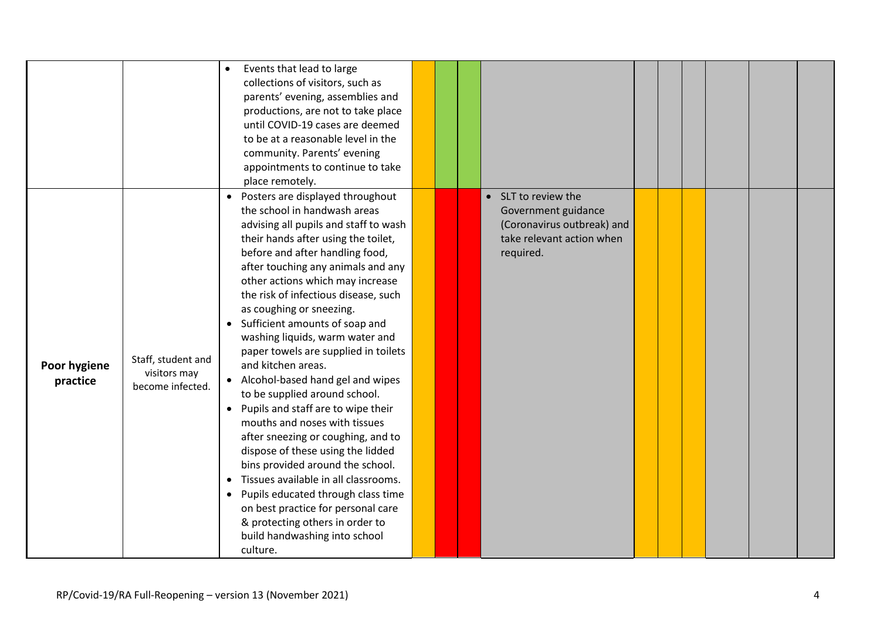|                          |                                                        | Events that lead to large<br>$\bullet$<br>collections of visitors, such as<br>parents' evening, assemblies and<br>productions, are not to take place<br>until COVID-19 cases are deemed<br>to be at a reasonable level in the<br>community. Parents' evening<br>appointments to continue to take<br>place remotely.                                                                                                                                                                                                                                                                                                                                                                                                                                                                                                                                                                                                                                               |  |                                                                                                                    |  |  |  |
|--------------------------|--------------------------------------------------------|-------------------------------------------------------------------------------------------------------------------------------------------------------------------------------------------------------------------------------------------------------------------------------------------------------------------------------------------------------------------------------------------------------------------------------------------------------------------------------------------------------------------------------------------------------------------------------------------------------------------------------------------------------------------------------------------------------------------------------------------------------------------------------------------------------------------------------------------------------------------------------------------------------------------------------------------------------------------|--|--------------------------------------------------------------------------------------------------------------------|--|--|--|
| Poor hygiene<br>practice | Staff, student and<br>visitors may<br>become infected. | Posters are displayed throughout<br>the school in handwash areas<br>advising all pupils and staff to wash<br>their hands after using the toilet,<br>before and after handling food,<br>after touching any animals and any<br>other actions which may increase<br>the risk of infectious disease, such<br>as coughing or sneezing.<br>Sufficient amounts of soap and<br>$\bullet$<br>washing liquids, warm water and<br>paper towels are supplied in toilets<br>and kitchen areas.<br>• Alcohol-based hand gel and wipes<br>to be supplied around school.<br>• Pupils and staff are to wipe their<br>mouths and noses with tissues<br>after sneezing or coughing, and to<br>dispose of these using the lidded<br>bins provided around the school.<br>Tissues available in all classrooms.<br>$\bullet$<br>Pupils educated through class time<br>on best practice for personal care<br>& protecting others in order to<br>build handwashing into school<br>culture. |  | • SLT to review the<br>Government guidance<br>(Coronavirus outbreak) and<br>take relevant action when<br>required. |  |  |  |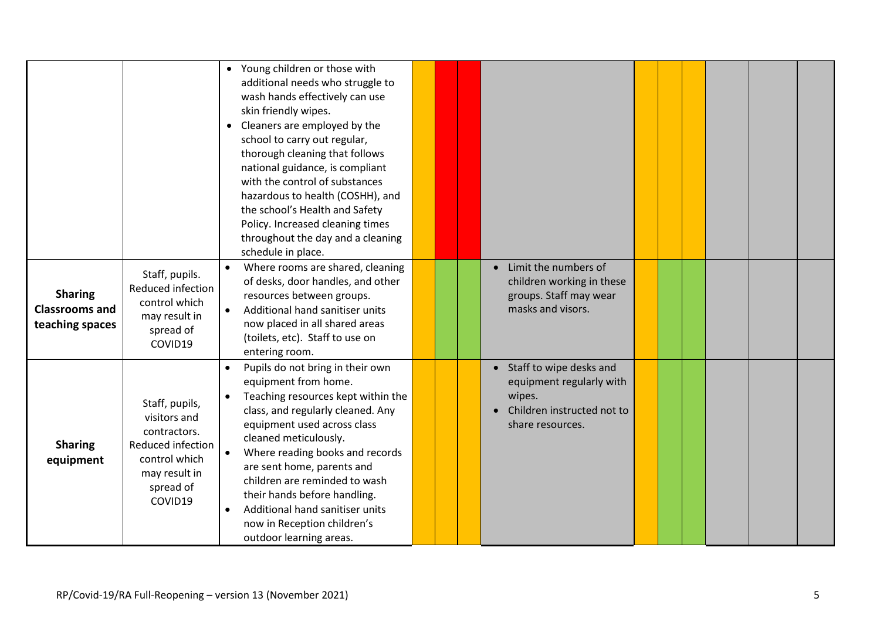|                                                            |                                                                                                                               | • Young children or those with<br>additional needs who struggle to<br>wash hands effectively can use<br>skin friendly wipes.<br>Cleaners are employed by the<br>school to carry out regular,<br>thorough cleaning that follows<br>national guidance, is compliant<br>with the control of substances<br>hazardous to health (COSHH), and<br>the school's Health and Safety<br>Policy. Increased cleaning times<br>throughout the day and a cleaning<br>schedule in place. |  |                                                                                                                   |  |  |  |
|------------------------------------------------------------|-------------------------------------------------------------------------------------------------------------------------------|--------------------------------------------------------------------------------------------------------------------------------------------------------------------------------------------------------------------------------------------------------------------------------------------------------------------------------------------------------------------------------------------------------------------------------------------------------------------------|--|-------------------------------------------------------------------------------------------------------------------|--|--|--|
| <b>Sharing</b><br><b>Classrooms and</b><br>teaching spaces | Staff, pupils.<br>Reduced infection<br>control which<br>may result in<br>spread of<br>COVID19                                 | Where rooms are shared, cleaning<br>of desks, door handles, and other<br>resources between groups.<br>Additional hand sanitiser units<br>$\bullet$<br>now placed in all shared areas<br>(toilets, etc). Staff to use on<br>entering room.                                                                                                                                                                                                                                |  | Limit the numbers of<br>$\bullet$<br>children working in these<br>groups. Staff may wear<br>masks and visors.     |  |  |  |
| <b>Sharing</b><br>equipment                                | Staff, pupils,<br>visitors and<br>contractors.<br>Reduced infection<br>control which<br>may result in<br>spread of<br>COVID19 | Pupils do not bring in their own<br>equipment from home.<br>Teaching resources kept within the<br>$\bullet$<br>class, and regularly cleaned. Any<br>equipment used across class<br>cleaned meticulously.<br>Where reading books and records<br>$\bullet$<br>are sent home, parents and<br>children are reminded to wash<br>their hands before handling.<br>Additional hand sanitiser units<br>now in Reception children's<br>outdoor learning areas.                     |  | • Staff to wipe desks and<br>equipment regularly with<br>wipes.<br>Children instructed not to<br>share resources. |  |  |  |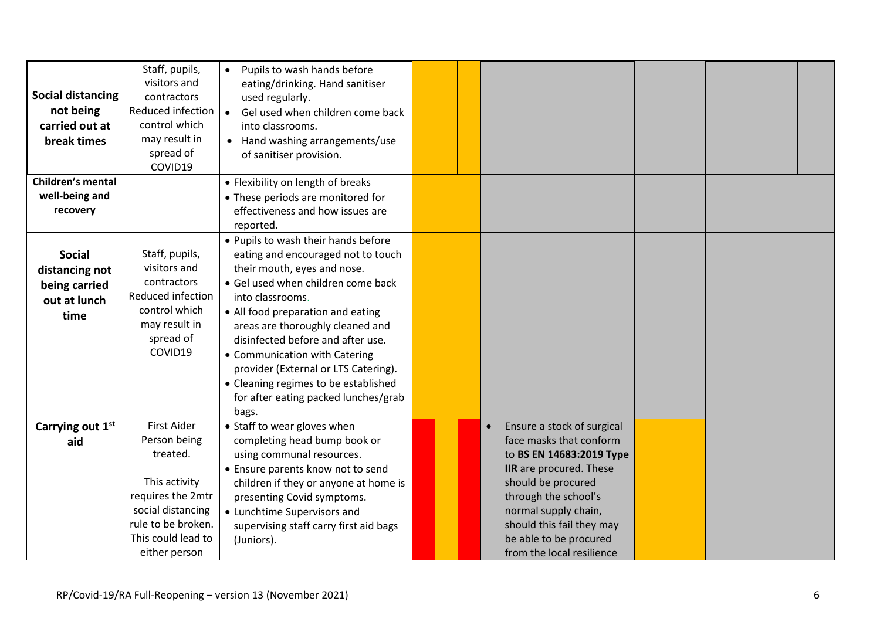| <b>Social distancing</b><br>not being<br>carried out at<br>break times   | Staff, pupils,<br>visitors and<br>contractors<br>Reduced infection<br>control which<br>may result in<br>spread of<br>COVID19                                           | Pupils to wash hands before<br>eating/drinking. Hand sanitiser<br>used regularly.<br>Gel used when children come back<br>$\bullet$<br>into classrooms.<br>• Hand washing arrangements/use<br>of sanitiser provision.                                                                                                                                                                                                                               |  |                                                                                                                                                                                                                                                                        |  |  |  |
|--------------------------------------------------------------------------|------------------------------------------------------------------------------------------------------------------------------------------------------------------------|----------------------------------------------------------------------------------------------------------------------------------------------------------------------------------------------------------------------------------------------------------------------------------------------------------------------------------------------------------------------------------------------------------------------------------------------------|--|------------------------------------------------------------------------------------------------------------------------------------------------------------------------------------------------------------------------------------------------------------------------|--|--|--|
| Children's mental                                                        |                                                                                                                                                                        | • Flexibility on length of breaks                                                                                                                                                                                                                                                                                                                                                                                                                  |  |                                                                                                                                                                                                                                                                        |  |  |  |
| well-being and<br>recovery                                               |                                                                                                                                                                        | • These periods are monitored for<br>effectiveness and how issues are                                                                                                                                                                                                                                                                                                                                                                              |  |                                                                                                                                                                                                                                                                        |  |  |  |
|                                                                          |                                                                                                                                                                        | reported.                                                                                                                                                                                                                                                                                                                                                                                                                                          |  |                                                                                                                                                                                                                                                                        |  |  |  |
| <b>Social</b><br>distancing not<br>being carried<br>out at lunch<br>time | Staff, pupils,<br>visitors and<br>contractors<br>Reduced infection<br>control which<br>may result in<br>spread of<br>COVID19                                           | . Pupils to wash their hands before<br>eating and encouraged not to touch<br>their mouth, eyes and nose.<br>• Gel used when children come back<br>into classrooms.<br>• All food preparation and eating<br>areas are thoroughly cleaned and<br>disinfected before and after use.<br>• Communication with Catering<br>provider (External or LTS Catering).<br>• Cleaning regimes to be established<br>for after eating packed lunches/grab<br>bags. |  |                                                                                                                                                                                                                                                                        |  |  |  |
| Carrying out 1st<br>aid                                                  | <b>First Aider</b><br>Person being<br>treated.<br>This activity<br>requires the 2mtr<br>social distancing<br>rule to be broken.<br>This could lead to<br>either person | • Staff to wear gloves when<br>completing head bump book or<br>using communal resources.<br>• Ensure parents know not to send<br>children if they or anyone at home is<br>presenting Covid symptoms.<br>• Lunchtime Supervisors and<br>supervising staff carry first aid bags<br>(Juniors).                                                                                                                                                        |  | Ensure a stock of surgical<br>face masks that conform<br>to BS EN 14683:2019 Type<br>IIR are procured. These<br>should be procured<br>through the school's<br>normal supply chain,<br>should this fail they may<br>be able to be procured<br>from the local resilience |  |  |  |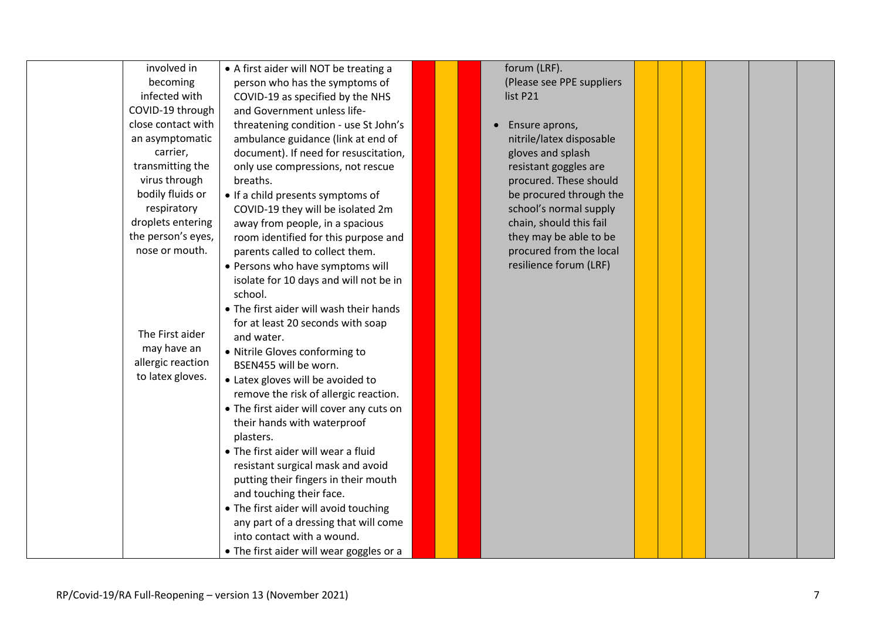| involved in        | • A first aider will NOT be treating a   |  | forum (LRF).                |  |  |  |
|--------------------|------------------------------------------|--|-----------------------------|--|--|--|
| becoming           | person who has the symptoms of           |  | (Please see PPE suppliers   |  |  |  |
| infected with      | COVID-19 as specified by the NHS         |  | list P21                    |  |  |  |
| COVID-19 through   | and Government unless life-              |  |                             |  |  |  |
| close contact with | threatening condition - use St John's    |  | Ensure aprons,<br>$\bullet$ |  |  |  |
| an asymptomatic    | ambulance guidance (link at end of       |  | nitrile/latex disposable    |  |  |  |
| carrier,           | document). If need for resuscitation,    |  | gloves and splash           |  |  |  |
| transmitting the   | only use compressions, not rescue        |  | resistant goggles are       |  |  |  |
| virus through      | breaths.                                 |  | procured. These should      |  |  |  |
| bodily fluids or   | . If a child presents symptoms of        |  | be procured through the     |  |  |  |
| respiratory        | COVID-19 they will be isolated 2m        |  | school's normal supply      |  |  |  |
| droplets entering  | away from people, in a spacious          |  | chain, should this fail     |  |  |  |
| the person's eyes, | room identified for this purpose and     |  | they may be able to be      |  |  |  |
| nose or mouth.     | parents called to collect them.          |  | procured from the local     |  |  |  |
|                    | • Persons who have symptoms will         |  | resilience forum (LRF)      |  |  |  |
|                    | isolate for 10 days and will not be in   |  |                             |  |  |  |
|                    | school.                                  |  |                             |  |  |  |
|                    | • The first aider will wash their hands  |  |                             |  |  |  |
|                    | for at least 20 seconds with soap        |  |                             |  |  |  |
| The First aider    | and water.                               |  |                             |  |  |  |
| may have an        | · Nitrile Gloves conforming to           |  |                             |  |  |  |
| allergic reaction  | BSEN455 will be worn.                    |  |                             |  |  |  |
| to latex gloves.   | • Latex gloves will be avoided to        |  |                             |  |  |  |
|                    | remove the risk of allergic reaction.    |  |                             |  |  |  |
|                    | • The first aider will cover any cuts on |  |                             |  |  |  |
|                    | their hands with waterproof              |  |                             |  |  |  |
|                    | plasters.                                |  |                             |  |  |  |
|                    | • The first aider will wear a fluid      |  |                             |  |  |  |
|                    | resistant surgical mask and avoid        |  |                             |  |  |  |
|                    | putting their fingers in their mouth     |  |                             |  |  |  |
|                    | and touching their face.                 |  |                             |  |  |  |
|                    | • The first aider will avoid touching    |  |                             |  |  |  |
|                    | any part of a dressing that will come    |  |                             |  |  |  |
|                    | into contact with a wound.               |  |                             |  |  |  |
|                    | • The first aider will wear goggles or a |  |                             |  |  |  |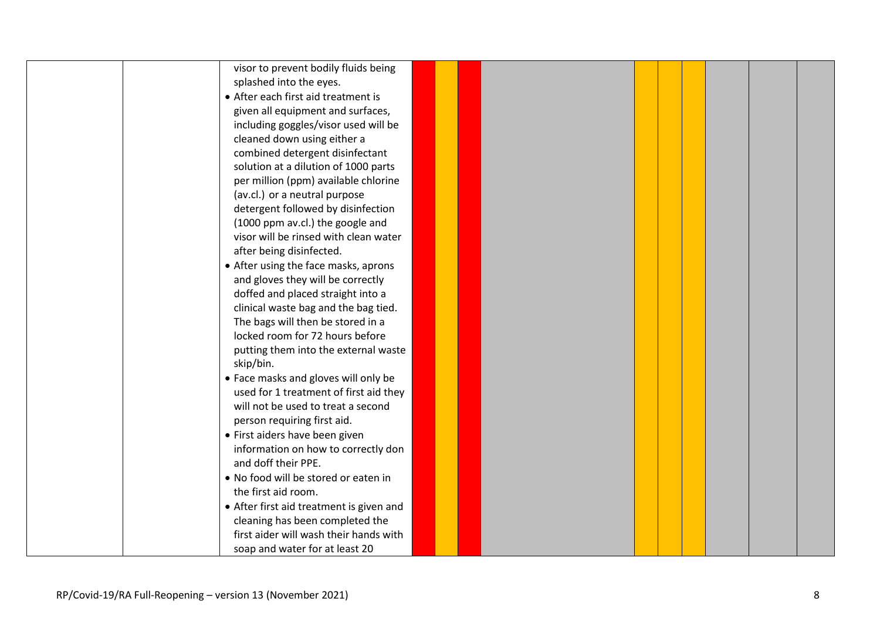| visor to prevent bodily fluids being     |  |  |  |  |  |
|------------------------------------------|--|--|--|--|--|
| splashed into the eyes.                  |  |  |  |  |  |
| • After each first aid treatment is      |  |  |  |  |  |
| given all equipment and surfaces,        |  |  |  |  |  |
| including goggles/visor used will be     |  |  |  |  |  |
| cleaned down using either a              |  |  |  |  |  |
| combined detergent disinfectant          |  |  |  |  |  |
| solution at a dilution of 1000 parts     |  |  |  |  |  |
| per million (ppm) available chlorine     |  |  |  |  |  |
| (av.cl.) or a neutral purpose            |  |  |  |  |  |
| detergent followed by disinfection       |  |  |  |  |  |
| (1000 ppm av.cl.) the google and         |  |  |  |  |  |
| visor will be rinsed with clean water    |  |  |  |  |  |
| after being disinfected.                 |  |  |  |  |  |
| • After using the face masks, aprons     |  |  |  |  |  |
| and gloves they will be correctly        |  |  |  |  |  |
| doffed and placed straight into a        |  |  |  |  |  |
| clinical waste bag and the bag tied.     |  |  |  |  |  |
| The bags will then be stored in a        |  |  |  |  |  |
| locked room for 72 hours before          |  |  |  |  |  |
| putting them into the external waste     |  |  |  |  |  |
| skip/bin.                                |  |  |  |  |  |
| • Face masks and gloves will only be     |  |  |  |  |  |
| used for 1 treatment of first aid they   |  |  |  |  |  |
| will not be used to treat a second       |  |  |  |  |  |
| person requiring first aid.              |  |  |  |  |  |
|                                          |  |  |  |  |  |
| • First aiders have been given           |  |  |  |  |  |
| information on how to correctly don      |  |  |  |  |  |
| and doff their PPE.                      |  |  |  |  |  |
| . No food will be stored or eaten in     |  |  |  |  |  |
| the first aid room.                      |  |  |  |  |  |
| • After first aid treatment is given and |  |  |  |  |  |
| cleaning has been completed the          |  |  |  |  |  |
| first aider will wash their hands with   |  |  |  |  |  |
| soap and water for at least 20           |  |  |  |  |  |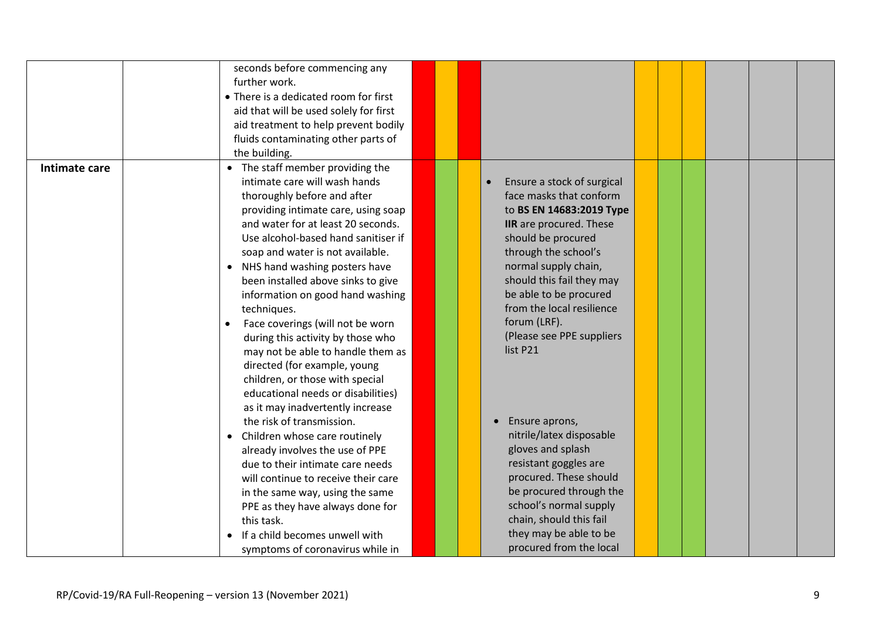|               | seconds before commencing any<br>further work.<br>• There is a dedicated room for first<br>aid that will be used solely for first<br>aid treatment to help prevent bodily<br>fluids contaminating other parts of<br>the building.                                                                                                                                                                                                                                                                                                                                                                                                                                                                                                                                                                                                                                                                                                                                                                                           |  |                                                                                                                                                                                                                                                                                                                                                                                                                                                                                                                                                                                                         |  |  |  |
|---------------|-----------------------------------------------------------------------------------------------------------------------------------------------------------------------------------------------------------------------------------------------------------------------------------------------------------------------------------------------------------------------------------------------------------------------------------------------------------------------------------------------------------------------------------------------------------------------------------------------------------------------------------------------------------------------------------------------------------------------------------------------------------------------------------------------------------------------------------------------------------------------------------------------------------------------------------------------------------------------------------------------------------------------------|--|---------------------------------------------------------------------------------------------------------------------------------------------------------------------------------------------------------------------------------------------------------------------------------------------------------------------------------------------------------------------------------------------------------------------------------------------------------------------------------------------------------------------------------------------------------------------------------------------------------|--|--|--|
| Intimate care | • The staff member providing the<br>intimate care will wash hands<br>thoroughly before and after<br>providing intimate care, using soap<br>and water for at least 20 seconds.<br>Use alcohol-based hand sanitiser if<br>soap and water is not available.<br>NHS hand washing posters have<br>$\bullet$<br>been installed above sinks to give<br>information on good hand washing<br>techniques.<br>Face coverings (will not be worn<br>$\bullet$<br>during this activity by those who<br>may not be able to handle them as<br>directed (for example, young<br>children, or those with special<br>educational needs or disabilities)<br>as it may inadvertently increase<br>the risk of transmission.<br>Children whose care routinely<br>$\bullet$<br>already involves the use of PPE<br>due to their intimate care needs<br>will continue to receive their care<br>in the same way, using the same<br>PPE as they have always done for<br>this task.<br>If a child becomes unwell with<br>symptoms of coronavirus while in |  | Ensure a stock of surgical<br>$\bullet$<br>face masks that conform<br>to BS EN 14683:2019 Type<br>IIR are procured. These<br>should be procured<br>through the school's<br>normal supply chain,<br>should this fail they may<br>be able to be procured<br>from the local resilience<br>forum (LRF).<br>(Please see PPE suppliers<br>list P21<br>Ensure aprons,<br>nitrile/latex disposable<br>gloves and splash<br>resistant goggles are<br>procured. These should<br>be procured through the<br>school's normal supply<br>chain, should this fail<br>they may be able to be<br>procured from the local |  |  |  |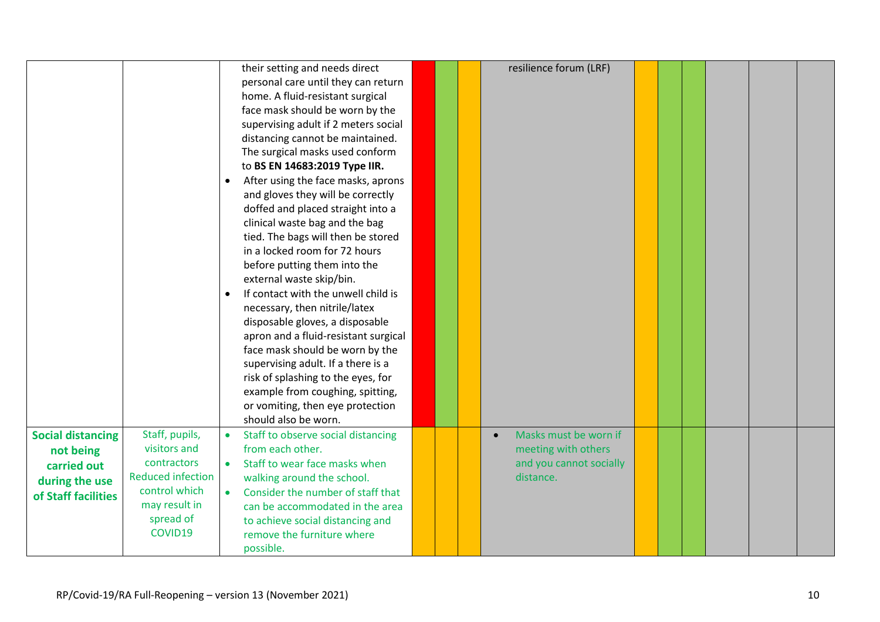|                          |                          | their setting and needs direct                                           |  | resilience forum (LRF)             |  |  |  |
|--------------------------|--------------------------|--------------------------------------------------------------------------|--|------------------------------------|--|--|--|
|                          |                          | personal care until they can return<br>home. A fluid-resistant surgical  |  |                                    |  |  |  |
|                          |                          | face mask should be worn by the                                          |  |                                    |  |  |  |
|                          |                          | supervising adult if 2 meters social                                     |  |                                    |  |  |  |
|                          |                          | distancing cannot be maintained.                                         |  |                                    |  |  |  |
|                          |                          | The surgical masks used conform                                          |  |                                    |  |  |  |
|                          |                          | to BS EN 14683:2019 Type IIR.                                            |  |                                    |  |  |  |
|                          |                          | After using the face masks, aprons<br>$\bullet$                          |  |                                    |  |  |  |
|                          |                          | and gloves they will be correctly                                        |  |                                    |  |  |  |
|                          |                          | doffed and placed straight into a                                        |  |                                    |  |  |  |
|                          |                          | clinical waste bag and the bag                                           |  |                                    |  |  |  |
|                          |                          | tied. The bags will then be stored                                       |  |                                    |  |  |  |
|                          |                          | in a locked room for 72 hours                                            |  |                                    |  |  |  |
|                          |                          | before putting them into the                                             |  |                                    |  |  |  |
|                          |                          | external waste skip/bin.                                                 |  |                                    |  |  |  |
|                          |                          | If contact with the unwell child is<br>$\bullet$                         |  |                                    |  |  |  |
|                          |                          | necessary, then nitrile/latex                                            |  |                                    |  |  |  |
|                          |                          | disposable gloves, a disposable                                          |  |                                    |  |  |  |
|                          |                          | apron and a fluid-resistant surgical                                     |  |                                    |  |  |  |
|                          |                          | face mask should be worn by the                                          |  |                                    |  |  |  |
|                          |                          | supervising adult. If a there is a<br>risk of splashing to the eyes, for |  |                                    |  |  |  |
|                          |                          | example from coughing, spitting,                                         |  |                                    |  |  |  |
|                          |                          | or vomiting, then eye protection                                         |  |                                    |  |  |  |
|                          |                          | should also be worn.                                                     |  |                                    |  |  |  |
| <b>Social distancing</b> | Staff, pupils,           | Staff to observe social distancing<br>$\bullet$                          |  | Masks must be worn if<br>$\bullet$ |  |  |  |
| not being                | visitors and             | from each other.                                                         |  | meeting with others                |  |  |  |
| carried out              | contractors              | Staff to wear face masks when<br>$\bullet$                               |  | and you cannot socially            |  |  |  |
| during the use           | <b>Reduced infection</b> | walking around the school.                                               |  | distance.                          |  |  |  |
| of Staff facilities      | control which            | Consider the number of staff that<br>$\bullet$                           |  |                                    |  |  |  |
|                          | may result in            | can be accommodated in the area                                          |  |                                    |  |  |  |
|                          | spread of                | to achieve social distancing and                                         |  |                                    |  |  |  |
|                          | COVID19                  | remove the furniture where                                               |  |                                    |  |  |  |
|                          |                          | possible.                                                                |  |                                    |  |  |  |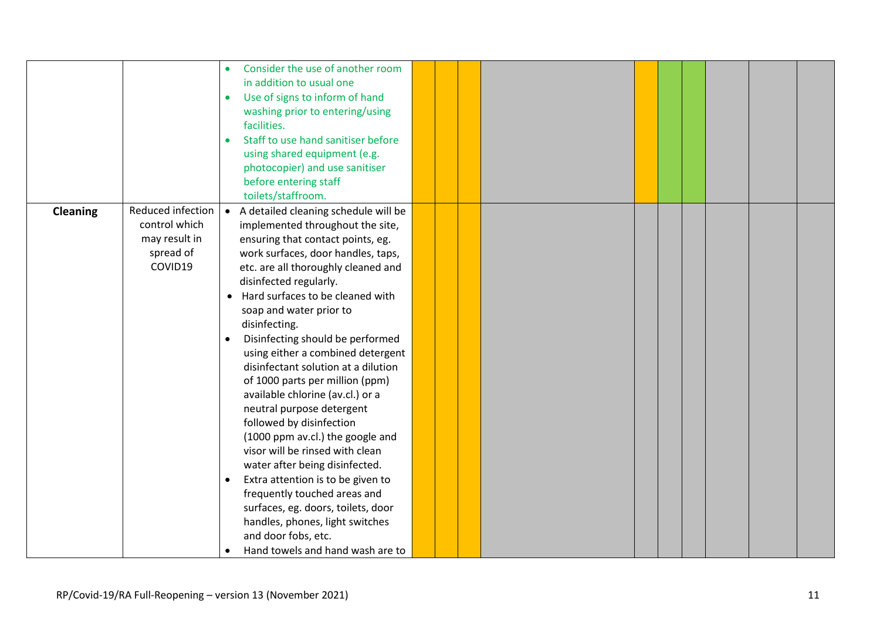|                 |                                                                             | Consider the use of another room<br>in addition to usual one<br>Use of signs to inform of hand<br>$\bullet$<br>washing prior to entering/using<br>facilities.<br>Staff to use hand sanitiser before<br>$\bullet$<br>using shared equipment (e.g.<br>photocopier) and use sanitiser<br>before entering staff<br>toilets/staffroom.                                                                                                                                                                                                                                                                                                                                                                                                                                                                                                                                                                  |  |  |  |  |  |
|-----------------|-----------------------------------------------------------------------------|----------------------------------------------------------------------------------------------------------------------------------------------------------------------------------------------------------------------------------------------------------------------------------------------------------------------------------------------------------------------------------------------------------------------------------------------------------------------------------------------------------------------------------------------------------------------------------------------------------------------------------------------------------------------------------------------------------------------------------------------------------------------------------------------------------------------------------------------------------------------------------------------------|--|--|--|--|--|
| <b>Cleaning</b> | Reduced infection<br>control which<br>may result in<br>spread of<br>COVID19 | A detailed cleaning schedule will be<br>$\bullet$<br>implemented throughout the site,<br>ensuring that contact points, eg.<br>work surfaces, door handles, taps,<br>etc. are all thoroughly cleaned and<br>disinfected regularly.<br>• Hard surfaces to be cleaned with<br>soap and water prior to<br>disinfecting.<br>Disinfecting should be performed<br>using either a combined detergent<br>disinfectant solution at a dilution<br>of 1000 parts per million (ppm)<br>available chlorine (av.cl.) or a<br>neutral purpose detergent<br>followed by disinfection<br>(1000 ppm av.cl.) the google and<br>visor will be rinsed with clean<br>water after being disinfected.<br>Extra attention is to be given to<br>$\bullet$<br>frequently touched areas and<br>surfaces, eg. doors, toilets, door<br>handles, phones, light switches<br>and door fobs, etc.<br>Hand towels and hand wash are to |  |  |  |  |  |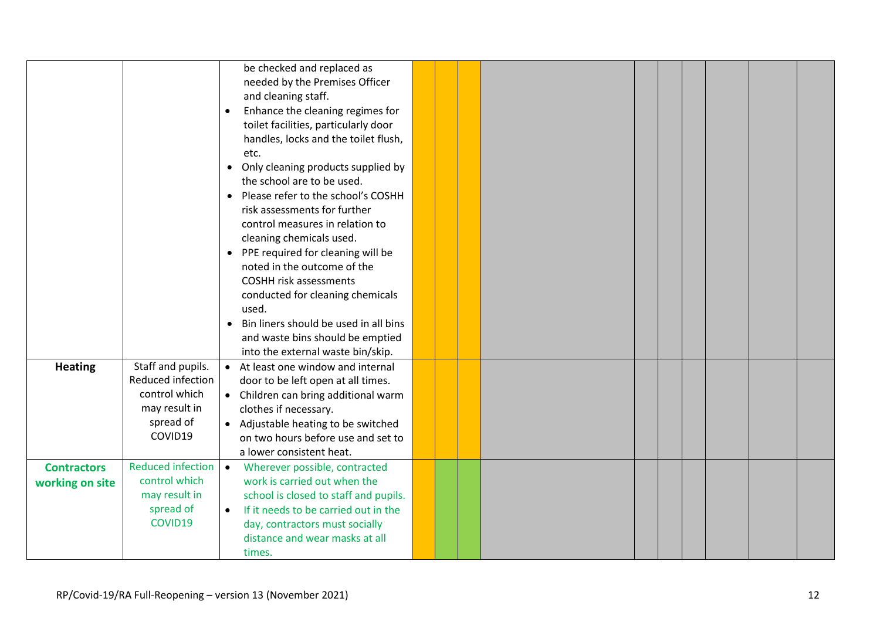|                                       |                                                                                                  | be checked and replaced as<br>needed by the Premises Officer<br>and cleaning staff.<br>Enhance the cleaning regimes for<br>toilet facilities, particularly door<br>handles, locks and the toilet flush,<br>etc.<br>• Only cleaning products supplied by<br>the school are to be used.<br>• Please refer to the school's COSHH<br>risk assessments for further<br>control measures in relation to<br>cleaning chemicals used.<br>• PPE required for cleaning will be<br>noted in the outcome of the<br><b>COSHH risk assessments</b><br>conducted for cleaning chemicals<br>used.<br>Bin liners should be used in all bins<br>and waste bins should be emptied<br>into the external waste bin/skip. |  |  |  |  |  |
|---------------------------------------|--------------------------------------------------------------------------------------------------|----------------------------------------------------------------------------------------------------------------------------------------------------------------------------------------------------------------------------------------------------------------------------------------------------------------------------------------------------------------------------------------------------------------------------------------------------------------------------------------------------------------------------------------------------------------------------------------------------------------------------------------------------------------------------------------------------|--|--|--|--|--|
| <b>Heating</b>                        | Staff and pupils.<br>Reduced infection<br>control which<br>may result in<br>spread of<br>COVID19 | At least one window and internal<br>door to be left open at all times.<br>• Children can bring additional warm<br>clothes if necessary.<br>• Adjustable heating to be switched<br>on two hours before use and set to<br>a lower consistent heat.                                                                                                                                                                                                                                                                                                                                                                                                                                                   |  |  |  |  |  |
| <b>Contractors</b><br>working on site | Reduced infection   •<br>control which<br>may result in<br>spread of<br>COVID19                  | Wherever possible, contracted<br>work is carried out when the<br>school is closed to staff and pupils.<br>If it needs to be carried out in the<br>$\bullet$<br>day, contractors must socially<br>distance and wear masks at all<br>times.                                                                                                                                                                                                                                                                                                                                                                                                                                                          |  |  |  |  |  |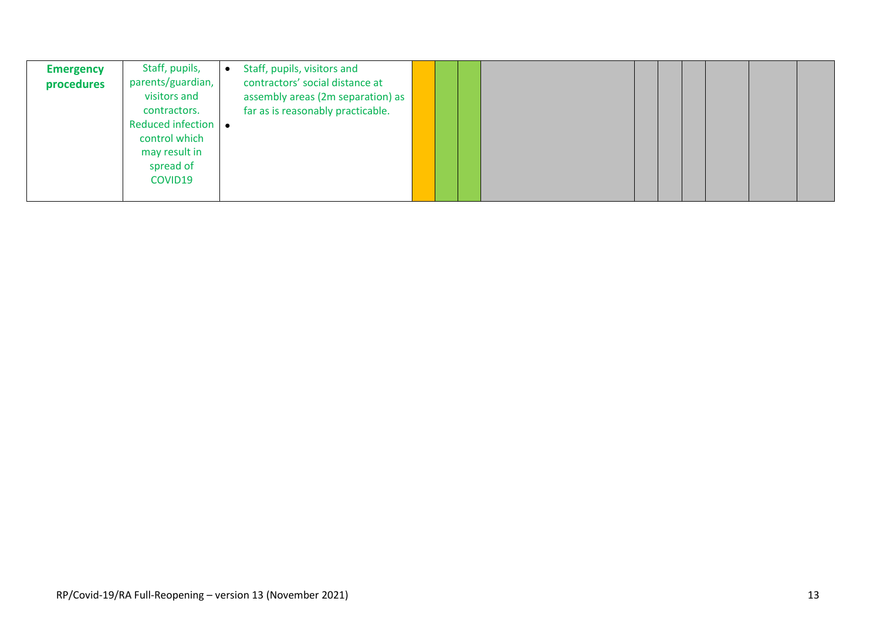| <b>Emergency</b><br>procedures | Staff, pupils,<br>parents/guardian,<br>visitors and<br>contractors.<br>Reduced infection<br>control which<br>may result in<br>spread of<br>COVID19 | Staff, pupils, visitors and<br>contractors' social distance at<br>assembly areas (2m separation) as<br>far as is reasonably practicable. |  |  |  |  |  |  |  |  |  |  |
|--------------------------------|----------------------------------------------------------------------------------------------------------------------------------------------------|------------------------------------------------------------------------------------------------------------------------------------------|--|--|--|--|--|--|--|--|--|--|
|--------------------------------|----------------------------------------------------------------------------------------------------------------------------------------------------|------------------------------------------------------------------------------------------------------------------------------------------|--|--|--|--|--|--|--|--|--|--|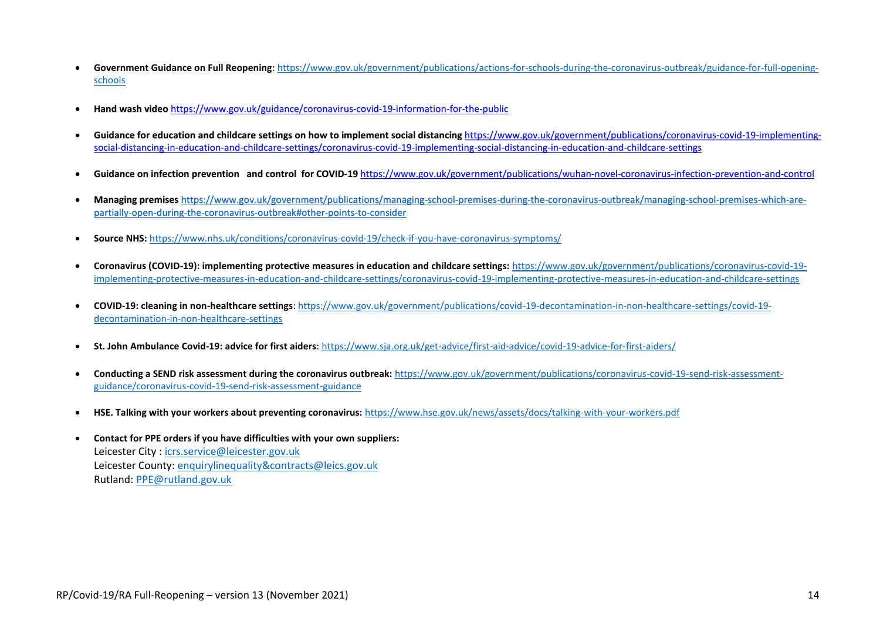- **Government Guidance on Full Reopening**[: https://www.gov.uk/government/publications/actions-for-schools-during-the-coronavirus-outbreak/guidance-for-full-opening](https://www.gov.uk/government/publications/actions-for-schools-during-the-coronavirus-outbreak/guidance-for-full-opening-schools)[schools](https://www.gov.uk/government/publications/actions-for-schools-during-the-coronavirus-outbreak/guidance-for-full-opening-schools)
- **Hand wash video** <https://www.gov.uk/guidance/coronavirus-covid-19-information-for-the-public>
- Guidance for education and childcare settings on how to implement social distancing [https://www.gov.uk/government/publications/coronavirus-covid-19-implementing](https://www.gov.uk/government/publications/coronavirus-covid-19-implementing-social-distancing-in-education-and-childcare-settings/coronavirus-covid-19-implementing-social-distancing-in-education-and-childcare-settings)[social-distancing-in-education-and-childcare-settings/coronavirus-covid-19-implementing-social-distancing-in-education-and-childcare-settings](https://www.gov.uk/government/publications/coronavirus-covid-19-implementing-social-distancing-in-education-and-childcare-settings/coronavirus-covid-19-implementing-social-distancing-in-education-and-childcare-settings)
- **Guidance on infection prevention and control for COVID-19** <https://www.gov.uk/government/publications/wuhan-novel-coronavirus-infection-prevention-and-control>
- **Managing premises** [https://www.gov.uk/government/publications/managing-school-premises-during-the-coronavirus-outbreak/managing-school-premises-which-are](https://www.gov.uk/government/publications/managing-school-premises-during-the-coronavirus-outbreak/managing-school-premises-which-are-partially-open-during-the-coronavirus-outbreak#other-points-to-consider)[partially-open-during-the-coronavirus-outbreak#other-points-to-consider](https://www.gov.uk/government/publications/managing-school-premises-during-the-coronavirus-outbreak/managing-school-premises-which-are-partially-open-during-the-coronavirus-outbreak#other-points-to-consider)
- **Source NHS:** <https://www.nhs.uk/conditions/coronavirus-covid-19/check-if-you-have-coronavirus-symptoms/>
- **Coronavirus (COVID-19): implementing protective measures in education and childcare settings:** [https://www.gov.uk/government/publications/coronavirus-covid-19](https://www.gov.uk/government/publications/coronavirus-covid-19-implementing-protective-measures-in-education-and-childcare-settings/coronavirus-covid-19-implementing-protective-measures-in-education-and-childcare-settings) [implementing-protective-measures-in-education-and-childcare-settings/coronavirus-covid-19-implementing-protective-measures-in-education-and-childcare-settings](https://www.gov.uk/government/publications/coronavirus-covid-19-implementing-protective-measures-in-education-and-childcare-settings/coronavirus-covid-19-implementing-protective-measures-in-education-and-childcare-settings)
- **COVID-19: cleaning in non-healthcare settings**: [https://www.gov.uk/government/publications/covid-19-decontamination-in-non-healthcare-settings/covid-19](https://www.gov.uk/government/publications/covid-19-decontamination-in-non-healthcare-settings/covid-19-decontamination-in-non-healthcare-settings) [decontamination-in-non-healthcare-settings](https://www.gov.uk/government/publications/covid-19-decontamination-in-non-healthcare-settings/covid-19-decontamination-in-non-healthcare-settings)
- **St. John Ambulance Covid-19: advice for first aiders**:<https://www.sja.org.uk/get-advice/first-aid-advice/covid-19-advice-for-first-aiders/>
- **Conducting a SEND risk assessment during the coronavirus outbreak:** [https://www.gov.uk/government/publications/coronavirus-covid-19-send-risk-assessment](https://www.gov.uk/government/publications/coronavirus-covid-19-send-risk-assessment-guidance/coronavirus-covid-19-send-risk-assessment-guidance)[guidance/coronavirus-covid-19-send-risk-assessment-guidance](https://www.gov.uk/government/publications/coronavirus-covid-19-send-risk-assessment-guidance/coronavirus-covid-19-send-risk-assessment-guidance)
- **HSE. Talking with your workers about preventing coronavirus:** <https://www.hse.gov.uk/news/assets/docs/talking-with-your-workers.pdf>
- **Contact for PPE orders if you have difficulties with your own suppliers:** Leicester City : [icrs.service@leicester.gov.uk](mailto:icrs.service@leicester.gov.uk) Leicester County[: enquirylinequality&contracts@leics.gov.uk](mailto:enquirylinequality&contracts@leics.gov.uk) Rutland: [PPE@rutland.gov.uk](mailto:PPE@rutland.gov.uk)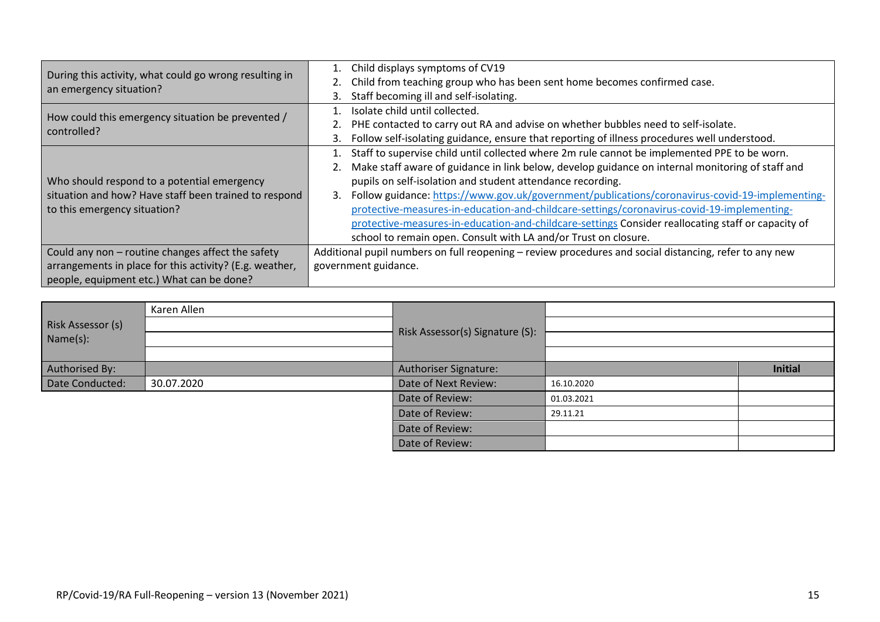| During this activity, what could go wrong resulting in<br>an emergency situation? | 1. Child displays symptoms of CV19                                                                     |
|-----------------------------------------------------------------------------------|--------------------------------------------------------------------------------------------------------|
|                                                                                   | Child from teaching group who has been sent home becomes confirmed case.                               |
|                                                                                   | Staff becoming ill and self-isolating.                                                                 |
| How could this emergency situation be prevented /<br>controlled?                  | Isolate child until collected.                                                                         |
|                                                                                   | PHE contacted to carry out RA and advise on whether bubbles need to self-isolate.                      |
|                                                                                   | Follow self-isolating guidance, ensure that reporting of illness procedures well understood.           |
|                                                                                   | Staff to supervise child until collected where 2m rule cannot be implemented PPE to be worn.           |
|                                                                                   | Make staff aware of guidance in link below, develop guidance on internal monitoring of staff and       |
| Who should respond to a potential emergency                                       | pupils on self-isolation and student attendance recording.                                             |
| situation and how? Have staff been trained to respond                             | Follow guidance: https://www.gov.uk/government/publications/coronavirus-covid-19-implementing-<br>3.   |
| to this emergency situation?                                                      | protective-measures-in-education-and-childcare-settings/coronavirus-covid-19-implementing-             |
|                                                                                   | protective-measures-in-education-and-childcare-settings Consider reallocating staff or capacity of     |
|                                                                                   | school to remain open. Consult with LA and/or Trust on closure.                                        |
| Could any non - routine changes affect the safety                                 | Additional pupil numbers on full reopening – review procedures and social distancing, refer to any new |
| arrangements in place for this activity? (E.g. weather,                           | government guidance.                                                                                   |
| people, equipment etc.) What can be done?                                         |                                                                                                        |

|                               | Karen Allen | Risk Assessor(s) Signature (S): |            |                |
|-------------------------------|-------------|---------------------------------|------------|----------------|
| Risk Assessor (s)<br>Name(s): |             |                                 |            |                |
|                               |             |                                 |            |                |
|                               |             |                                 |            |                |
| Authorised By:                |             | <b>Authoriser Signature:</b>    |            | <b>Initial</b> |
| Date Conducted:               | 30.07.2020  | Date of Next Review:            | 16.10.2020 |                |
|                               |             | Date of Review:                 | 01.03.2021 |                |
|                               |             | Date of Review:                 | 29.11.21   |                |
|                               |             | Date of Review:                 |            |                |
|                               |             | Date of Review:                 |            |                |